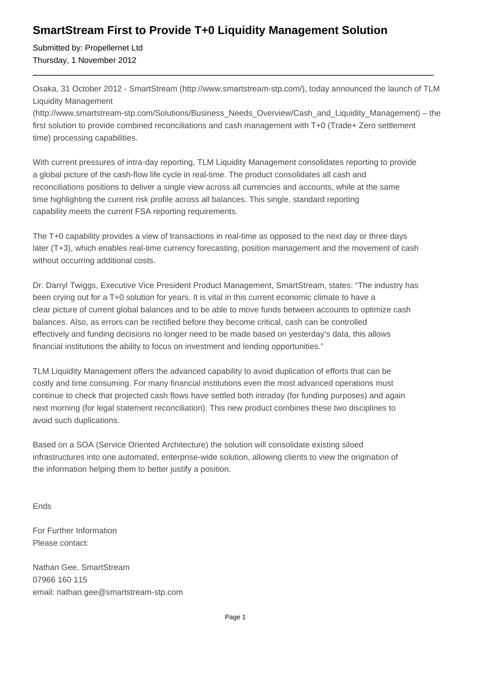## **SmartStream First to Provide T+0 Liquidity Management Solution**

Submitted by: Propellernet Ltd Thursday, 1 November 2012

Osaka, 31 October 2012 - SmartStream (http://www.smartstream-stp.com/), today announced the launch of TLM Liquidity Management

(http://www.smartstream-stp.com/Solutions/Business\_Needs\_Overview/Cash\_and\_Liquidity\_Management) – the first solution to provide combined reconciliations and cash management with T+0 (Trade+ Zero settlement time) processing capabilities.

With current pressures of intra-day reporting, TLM Liquidity Management consolidates reporting to provide a global picture of the cash-flow life cycle in real-time. The product consolidates all cash and reconciliations positions to deliver a single view across all currencies and accounts, while at the same time highlighting the current risk profile across all balances. This single, standard reporting capability meets the current FSA reporting requirements.

The T+0 capability provides a view of transactions in real-time as opposed to the next day or three days later (T+3), which enables real-time currency forecasting, position management and the movement of cash without occurring additional costs.

Dr. Darryl Twiggs, Executive Vice President Product Management, SmartStream, states: "The industry has been crying out for a T+0 solution for years. It is vital in this current economic climate to have a clear picture of current global balances and to be able to move funds between accounts to optimize cash balances. Also, as errors can be rectified before they become critical, cash can be controlled effectively and funding decisions no longer need to be made based on yesterday's data, this allows financial institutions the ability to focus on investment and lending opportunities."

TLM Liquidity Management offers the advanced capability to avoid duplication of efforts that can be costly and time consuming. For many financial institutions even the most advanced operations must continue to check that projected cash flows have settled both intraday (for funding purposes) and again next morning (for legal statement reconciliation). This new product combines these two disciplines to avoid such duplications.

Based on a SOA (Service Oriented Architecture) the solution will consolidate existing siloed infrastructures into one automated, enterprise-wide solution, allowing clients to view the origination of the information helping them to better justify a position.

Ends

For Further Information Please contact:

Nathan Gee, SmartStream 07966 160 115 email: nathan.gee@smartstream-stp.com